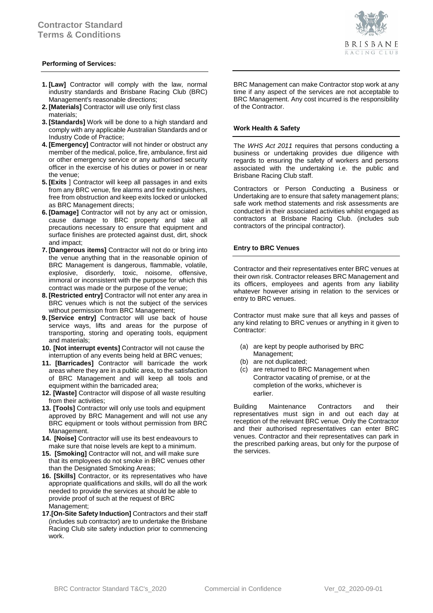# **Performing of Services:**

- **1. [Law]** Contractor will comply with the law, normal industry standards and Brisbane Racing Club (BRC) Management's reasonable directions;
- **2. [Materials]** Contractor will use only first class materials;
- **3. [Standards]** Work will be done to a high standard and comply with any applicable Australian Standards and or Industry Code of Practice;
- **4. [Emergency]** Contractor will not hinder or obstruct any member of the medical, police, fire, ambulance, first aid or other emergency service or any authorised security officer in the exercise of his duties or power in or near the venue;
- **5. [Exits** ] Contractor will keep all passages in and exits from any BRC venue, fire alarms and fire extinguishers, free from obstruction and keep exits locked or unlocked as BRC Management directs;
- **6. [Damage]** Contractor will not by any act or omission, cause damage to BRC property and take all precautions necessary to ensure that equipment and surface finishes are protected against dust, dirt, shock and impact;
- **7. [Dangerous items]** Contractor will not do or bring into the venue anything that in the reasonable opinion of BRC Management is dangerous, flammable, volatile, explosive, disorderly, toxic, noisome, offensive, immoral or inconsistent with the purpose for which this contract was made or the purpose of the venue;
- **8. [Restricted entry]** Contractor will not enter any area in BRC venues which is not the subject of the services without permission from BRC Management;
- **9. [Service entry]** Contractor will use back of house service ways, lifts and areas for the purpose of transporting, storing and operating tools, equipment and materials;
- **10. [Not interrupt events]** Contractor will not cause the interruption of any events being held at BRC venues;
- **11. [Barricades]** Contractor will barricade the work areas where they are in a public area, to the satisfaction of BRC Management and will keep all tools and equipment within the barricaded area;
- **12. [Waste]** Contractor will dispose of all waste resulting from their activities;
- **13. [Tools]** Contractor will only use tools and equipment approved by BRC Management and will not use any BRC equipment or tools without permission from BRC Management.
- **14. [Noise]** Contractor will use its best endeavours to make sure that noise levels are kept to a minimum.
- **15. [Smoking]** Contractor will not, and will make sure that its employees do not smoke in BRC venues other than the Designated Smoking Areas;
- **16. [Skills]** Contractor, or its representatives who have appropriate qualifications and skills, will do all the work needed to provide the services at should be able to provide proof of such at the request of BRC Management;
- **17.[On-Site Safety Induction]** Contractors and their staff (includes sub contractor) are to undertake the Brisbane Racing Club site safety induction prior to commencing work.

BRC Management can make Contractor stop work at any time if any aspect of the services are not acceptable to BRC Management. Any cost incurred is the responsibility of the Contractor.

# **Work Health & Safety**

The *WHS Act 2011* requires that persons conducting a business or undertaking provides due diligence with regards to ensuring the safety of workers and persons associated with the undertaking i.e. the public and Brisbane Racing Club staff.

Contractors or Person Conducting a Business or Undertaking are to ensure that safety management plans; safe work method statements and risk assessments are conducted in their associated activities whilst engaged as contractors at Brisbane Racing Club. (includes sub contractors of the principal contractor).

# **Entry to BRC Venues**

Contractor and their representatives enter BRC venues at their own risk. Contractor releases BRC Management and its officers, employees and agents from any liability whatever however arising in relation to the services or entry to BRC venues.

Contractor must make sure that all keys and passes of any kind relating to BRC venues or anything in it given to Contractor:

- (a) are kept by people authorised by BRC Management;
- (b) are not duplicated;
- (c) are returned to BRC Management when Contractor vacating of premise, or at the completion of the works, whichever is earlier.

Building Maintenance Contractors and their representatives must sign in and out each day at reception of the relevant BRC venue. Only the Contractor and their authorised representatives can enter BRC venues. Contractor and their representatives can park in the prescribed parking areas, but only for the purpose of the services.